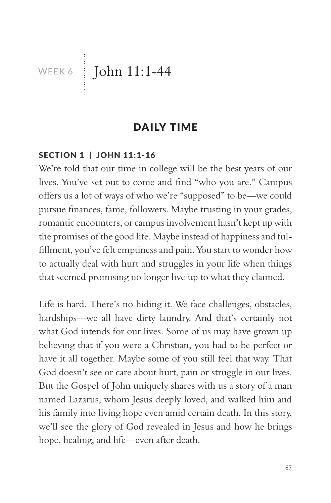WEEK 6 John 11:1-44

### DAILY TIME

### SECTION 1 | JOHN 11:1-16

We're told that our time in college will be the best years of our lives. You've set out to come and find "who you are." Campus offers us a lot of ways of who we're "supposed" to be—we could pursue finances, fame, followers. Maybe trusting in your grades, romantic encounters, or campus involvement hasn't kept up with the promises of the good life. Maybe instead of happiness and fulfillment, you've felt emptiness and pain. You start to wonder how to actually deal with hurt and struggles in your life when things that seemed promising no longer live up to what they claimed.

Life is hard. There's no hiding it. We face challenges, obstacles, hardships—we all have dirty laundry. And that's certainly not what God intends for our lives. Some of us may have grown up believing that if you were a Christian, you had to be perfect or have it all together. Maybe some of you still feel that way. That God doesn't see or care about hurt, pain or struggle in our lives. But the Gospel of John uniquely shares with us a story of a man named Lazarus, whom Jesus deeply loved, and walked him and his family into living hope even amid certain death. In this story, we'll see the glory of God revealed in Jesus and how he brings hope, healing, and life—even after death.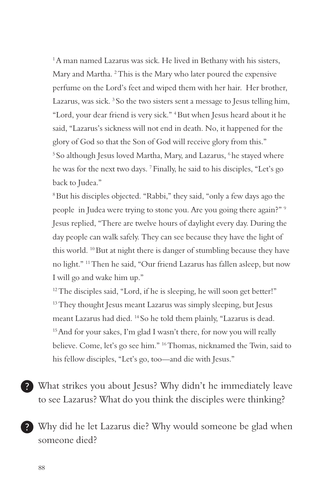<sup>1</sup>A man named Lazarus was sick. He lived in Bethany with his sisters, Mary and Martha. <sup>2</sup> This is the Mary who later poured the expensive perfume on the Lord's feet and wiped them with her hair. Her brother, Lazarus, was sick. <sup>3</sup> So the two sisters sent a message to Jesus telling him, "Lord, your dear friend is very sick." 4 But when Jesus heard about it he said, "Lazarus's sickness will not end in death. No, it happened for the glory of God so that the Son of God will receive glory from this." <sup>5</sup> So although Jesus loved Martha, Mary, and Lazarus, <sup>6</sup> he stayed where he was for the next two days. 7 Finally, he said to his disciples, "Let's go back to Judea."

8 But his disciples objected. "Rabbi," they said, "only a few days ago the people in Judea were trying to stone you. Are you going there again?" 9 Jesus replied, "There are twelve hours of daylight every day. During the day people can walk safely. They can see because they have the light of this world. 10 But at night there is danger of stumbling because they have no light." 11 Then he said, "Our friend Lazarus has fallen asleep, but now I will go and wake him up."

 $12$ <sup>12</sup> The disciples said, "Lord, if he is sleeping, he will soon get better!" <sup>13</sup> They thought Jesus meant Lazarus was simply sleeping, but Jesus meant Lazarus had died. 14 So he told them plainly, "Lazarus is dead. <sup>15</sup> And for your sakes, I'm glad I wasn't there, for now you will really believe. Come, let's go see him." 16 Thomas, nicknamed the Twin, said to his fellow disciples, "Let's go, too—and die with Jesus."

What strikes you about Jesus? Why didn't he immediately leave to see Lazarus? What do you think the disciples were thinking?

Why did he let Lazarus die? Why would someone be glad when someone died?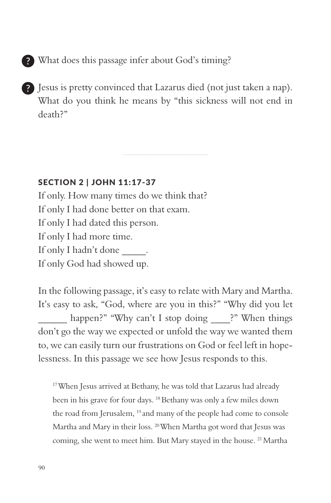What does this passage infer about God's timing?

Jesus is pretty convinced that Lazarus died (not just taken a nap). What do you think he means by "this sickness will not end in death?"

SECTION 2 | JOHN 11:17-37

If only. How many times do we think that? If only I had done better on that exam. If only I had dated this person. If only I had more time. If only I hadn't done \_\_\_\_\_\_\_. If only God had showed up.

In the following passage, it's easy to relate with Mary and Martha. It's easy to ask, "God, where are you in this?" "Why did you let happen?" "Why can't I stop doing \_\_\_\_\_?" When things don't go the way we expected or unfold the way we wanted them to, we can easily turn our frustrations on God or feel left in hopelessness. In this passage we see how Jesus responds to this.

<sup>17</sup> When Jesus arrived at Bethany, he was told that Lazarus had already been in his grave for four days. 18 Bethany was only a few miles down the road from Jerusalem, <sup>19</sup> and many of the people had come to console Martha and Mary in their loss. 20 When Martha got word that Jesus was coming, she went to meet him. But Mary stayed in the house. 21 Martha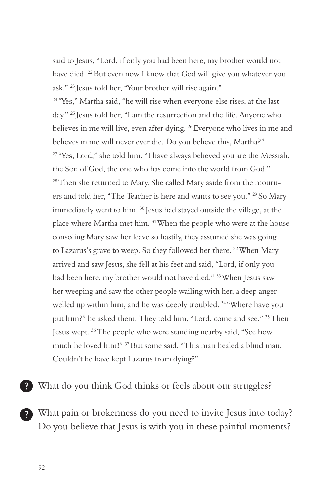said to Jesus, "Lord, if only you had been here, my brother would not have died. 22 But even now I know that God will give you whatever you ask." 23 Jesus told her, "Your brother will rise again."

<sup>24</sup> "Yes," Martha said, "he will rise when everyone else rises, at the last day." 25 Jesus told her, "I am the resurrection and the life. Anyone who believes in me will live, even after dying. <sup>26</sup> Everyone who lives in me and believes in me will never ever die. Do you believe this, Martha?" <sup>27</sup> "Yes, Lord," she told him. "I have always believed you are the Messiah, the Son of God, the one who has come into the world from God." <sup>28</sup> Then she returned to Mary. She called Mary aside from the mourners and told her, "The Teacher is here and wants to see you." 29 So Mary immediately went to him. 30 Jesus had stayed outside the village, at the place where Martha met him. 31 When the people who were at the house consoling Mary saw her leave so hastily, they assumed she was going to Lazarus's grave to weep. So they followed her there. <sup>32</sup> When Mary arrived and saw Jesus, she fell at his feet and said, "Lord, if only you had been here, my brother would not have died." 33 When Jesus saw her weeping and saw the other people wailing with her, a deep anger welled up within him, and he was deeply troubled. <sup>34</sup> "Where have you put him?" he asked them. They told him, "Lord, come and see." 35 Then Jesus wept. 36 The people who were standing nearby said, "See how much he loved him!" 37 But some said, "This man healed a blind man. Couldn't he have kept Lazarus from dying?"

? What do you think God thinks or feels about our struggles?

What pain or brokenness do you need to invite Jesus into today? Do you believe that Jesus is with you in these painful moments?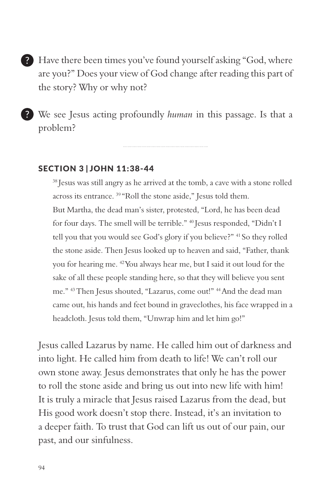Have there been times you've found yourself asking "God, where are you?" Does your view of God change after reading this part of the story? Why or why not?

We see Jesus acting profoundly *human* in this passage. Is that a problem?

### SECTION 3 | JOHN 11:38-44

<sup>38</sup> Jesus was still angry as he arrived at the tomb, a cave with a stone rolled across its entrance. 39 "Roll the stone aside," Jesus told them. But Martha, the dead man's sister, protested, "Lord, he has been dead for four days. The smell will be terrible." 40 Jesus responded, "Didn't I tell you that you would see God's glory if you believe?" <sup>41</sup> So they rolled the stone aside. Then Jesus looked up to heaven and said, "Father, thank you for hearing me. 42 You always hear me, but I said it out loud for the sake of all these people standing here, so that they will believe you sent me." 43 Then Jesus shouted, "Lazarus, come out!" 44 And the dead man came out, his hands and feet bound in graveclothes, his face wrapped in a headcloth. Jesus told them, "Unwrap him and let him go!"

Jesus called Lazarus by name. He called him out of darkness and into light. He called him from death to life! We can't roll our own stone away. Jesus demonstrates that only he has the power to roll the stone aside and bring us out into new life with him! It is truly a miracle that Jesus raised Lazarus from the dead, but His good work doesn't stop there. Instead, it's an invitation to a deeper faith. To trust that God can lift us out of our pain, our past, and our sinfulness.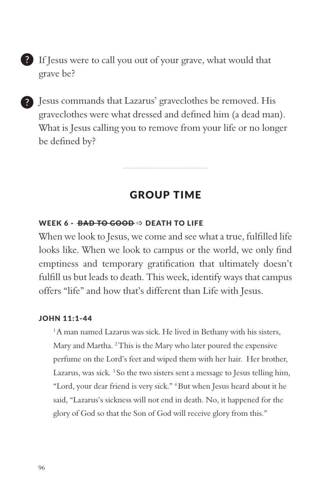

Jesus commands that Lazarus' graveclothes be removed. His graveclothes were what dressed and defined him (a dead man). What is Jesus calling you to remove from your life or no longer be defined by?

### GROUP TIME

### WEEK 6 -  $\overline{BAD}$  TO GOOD  $\Rightarrow$  DEATH TO LIFE

When we look to Jesus, we come and see what a true, fulfilled life looks like. When we look to campus or the world, we only find emptiness and temporary gratification that ultimately doesn't fulfill us but leads to death. This week, identify ways that campus offers "life" and how that's different than Life with Jesus.

#### JOHN 11:1-44

<sup>1</sup>A man named Lazarus was sick. He lived in Bethany with his sisters, Mary and Martha. <sup>2</sup> This is the Mary who later poured the expensive perfume on the Lord's feet and wiped them with her hair. Her brother, Lazarus, was sick. 3 So the two sisters sent a message to Jesus telling him, "Lord, your dear friend is very sick." 4 But when Jesus heard about it he said, "Lazarus's sickness will not end in death. No, it happened for the glory of God so that the Son of God will receive glory from this."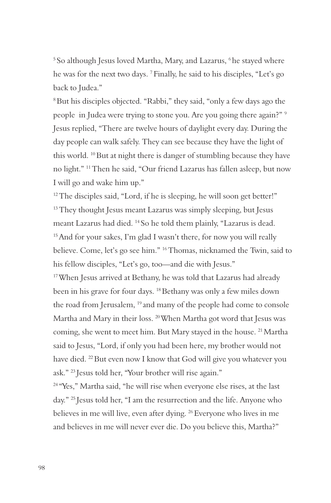<sup>5</sup> So although Jesus loved Martha, Mary, and Lazarus, <sup>6</sup> he stayed where he was for the next two days. 7 Finally, he said to his disciples, "Let's go back to Judea."

8 But his disciples objected. "Rabbi," they said, "only a few days ago the people in Judea were trying to stone you. Are you going there again?" 9 Jesus replied, "There are twelve hours of daylight every day. During the day people can walk safely. They can see because they have the light of this world. 10 But at night there is danger of stumbling because they have no light." 11 Then he said, "Our friend Lazarus has fallen asleep, but now I will go and wake him up."

 $12$  The disciples said, "Lord, if he is sleeping, he will soon get better!" <sup>13</sup> They thought Jesus meant Lazarus was simply sleeping, but Jesus meant Lazarus had died. 14 So he told them plainly, "Lazarus is dead. <sup>15</sup> And for your sakes, I'm glad I wasn't there, for now you will really believe. Come, let's go see him." 16 Thomas, nicknamed the Twin, said to his fellow disciples, "Let's go, too—and die with Jesus."

<sup>17</sup> When Jesus arrived at Bethany, he was told that Lazarus had already been in his grave for four days. 18 Bethany was only a few miles down the road from Jerusalem, 19 and many of the people had come to console Martha and Mary in their loss. 20 When Martha got word that Jesus was coming, she went to meet him. But Mary stayed in the house. 21 Martha said to Jesus, "Lord, if only you had been here, my brother would not have died. 22 But even now I know that God will give you whatever you ask." 23 Jesus told her, "Your brother will rise again."

24 "Yes," Martha said, "he will rise when everyone else rises, at the last day." 25 Jesus told her, "I am the resurrection and the life. Anyone who believes in me will live, even after dying. 26 Everyone who lives in me and believes in me will never ever die. Do you believe this, Martha?"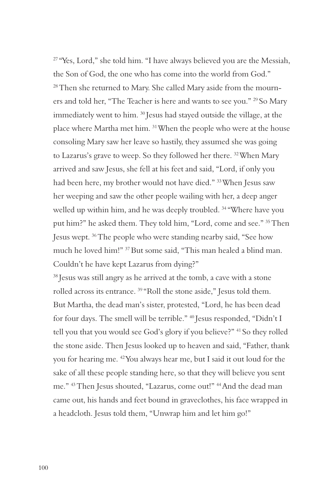<sup>27</sup> "Yes, Lord," she told him. "I have always believed you are the Messiah, the Son of God, the one who has come into the world from God." <sup>28</sup> Then she returned to Mary. She called Mary aside from the mourners and told her, "The Teacher is here and wants to see you." 29 So Mary immediately went to him. 30 Jesus had stayed outside the village, at the place where Martha met him. 31 When the people who were at the house consoling Mary saw her leave so hastily, they assumed she was going to Lazarus's grave to weep. So they followed her there. <sup>32</sup> When Mary arrived and saw Jesus, she fell at his feet and said, "Lord, if only you had been here, my brother would not have died." 33 When Jesus saw her weeping and saw the other people wailing with her, a deep anger welled up within him, and he was deeply troubled.<sup>34</sup> "Where have you put him?" he asked them. They told him, "Lord, come and see." 35 Then Jesus wept. 36 The people who were standing nearby said, "See how much he loved him!" 37 But some said, "This man healed a blind man. Couldn't he have kept Lazarus from dying?"

38 Jesus was still angry as he arrived at the tomb, a cave with a stone rolled across its entrance. 39 "Roll the stone aside," Jesus told them. But Martha, the dead man's sister, protested, "Lord, he has been dead for four days. The smell will be terrible." 40 Jesus responded, "Didn't I tell you that you would see God's glory if you believe?" 41 So they rolled the stone aside. Then Jesus looked up to heaven and said, "Father, thank you for hearing me. 42 You always hear me, but I said it out loud for the sake of all these people standing here, so that they will believe you sent me." 43 Then Jesus shouted, "Lazarus, come out!" 44 And the dead man came out, his hands and feet bound in graveclothes, his face wrapped in a headcloth. Jesus told them, "Unwrap him and let him go!"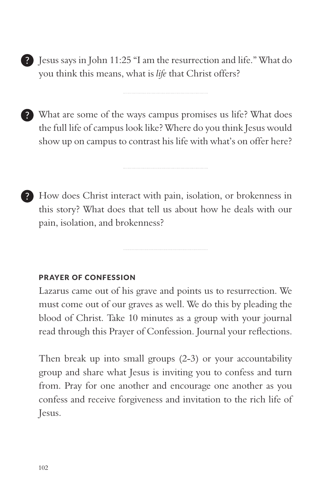Jesus says in John 11:25 "I am the resurrection and life." What do you think this means, what is *life* that Christ offers?

What are some of the ways campus promises us life? What does the full life of campus look like? Where do you think Jesus would show up on campus to contrast his life with what's on offer here?

How does Christ interact with pain, isolation, or brokenness in -? this story? What does that tell us about how he deals with our pain, isolation, and brokenness?

### PRAYER OF CONFESSION

Lazarus came out of his grave and points us to resurrection. We must come out of our graves as well. We do this by pleading the blood of Christ. Take 10 minutes as a group with your journal read through this Prayer of Confession. Journal your reflections.

Then break up into small groups (2-3) or your accountability group and share what Jesus is inviting you to confess and turn from. Pray for one another and encourage one another as you confess and receive forgiveness and invitation to the rich life of Jesus.